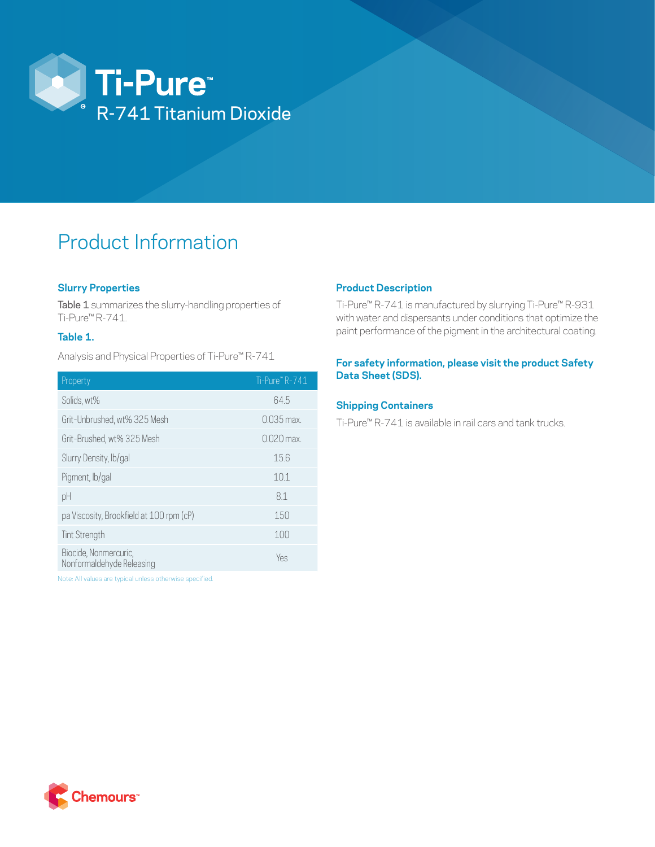

# Product Information

## **Slurry Properties**

Table 1 summarizes the slurry-handling properties of Ti-Pure™ R-741.

### **Table 1.**

Analysis and Physical Properties of Ti-Pure™ R-741

| Property                                           | Ti-Pure" R-741 |
|----------------------------------------------------|----------------|
| Solids, wt%                                        | 64.5           |
| Grit-Unbrushed, wt% 325 Mesh                       | $0.035$ max.   |
| Grit-Brushed, wt% 325 Mesh                         | $0.020$ max.   |
| Slurry Density, lb/gal                             | 15.6           |
| Pigment, lb/gal                                    | 10.1           |
| pH                                                 | 81             |
| pa Viscosity, Brookfield at 100 rpm (cP)           | 150            |
| Tint Strength                                      | 100            |
| Biocide, Nonmercuric,<br>Nonformaldehyde Releasing | Yes            |

Note: All values are typical unless otherwise specified.

### **Product Description**

Ti-Pure™ R-741 is manufactured by slurrying Ti-Pure™ R-931 with water and dispersants under conditions that optimize the paint performance of the pigment in the architectural coating.

### **For safety information, please visit the product Safety Data Sheet (SDS).**

#### **Shipping Containers**

Ti-Pure™ R-741 is available in rail cars and tank trucks.